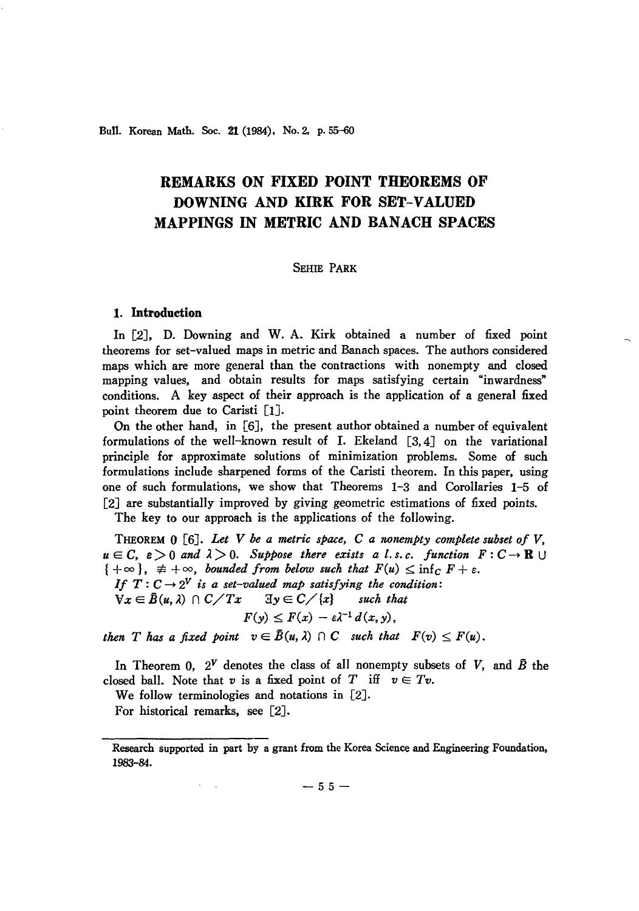Bull. Korean Math. Soc. 21 (1984). No. 2. p. 55-60

# **REMARKS ON FIXED POINT THEOREMS OF DOWNING AND KIRK FOR SET-VALUED MAPPINGS IN METRIC AND BANACH SPACES**

# SEHIE PARK

#### 1. **Introduction**

In [2], D. Downing and W. A. Kirk obtained a number of fixed point theorems for set-valued maps in metric and Banach spaces. The authors considered maps which are more general than the contractions with nonempty and closed mapping values, and obtain results for maps satisfying certain "inwardness" conditions. A key aspect of their approach is the application of a general fixed point theorem due to Caristi [lJ.

On the other hand, in [6J, the present author obtained a number of equivalent formulations of the well-known result of  $I$ . Ekeland  $[3, 4]$  on the variational principle for approximate solutions of minimization problems. Some of such formulations include sharpened forms of the Caristi theorem. In this paper, using one of such formulations, we show that Theorems 1-3 and Corollaries 1-5 of [2J are substantially improved by giving geometric estimations of fixed points.

The key to our approach is the applications of the following.

THEOREM 0 [6J. *Let* V *be a metric space,* C *a nonempty complete subset of* V.  $u \in C$ ,  $\varepsilon > 0$  and  $\lambda > 0$ . Suppose there exists a l.s.c. function  $F: C \to \mathbb{R} \cup$  ${+ \infty}$ ,  $\neq +\infty$ , *bounded from below such that*  $F(u) \le \inf_C F + \varepsilon$ . *If*  $T: C \rightarrow 2^V$  *is a set-valued map satisfying the condition:*  $\forall x \in \bar{B}(u, \lambda) \cap C/Tx \quad \exists y \in C/\{x\} \quad \text{such that}$ 

$$
F(y) \leq F(x) - \varepsilon \lambda^{-1} d(x, y),
$$

*then T* has a fixed point  $v \in \overline{B}(u, \lambda) \cap C$  such that  $F(v) \leq F(u)$ .

In Theorem 0,  $2^V$  denotes the class of all nonempty subsets of *V*, and  $\vec{B}$  the closed ball. Note that *v* is a fixed point of *T* iff  $v \in Tv$ .

We follow terminologies and notations in [2J.

For historical remarks, see [2J.

 $-55-$ 

Research supported in part by a grant from the Korea Science and Engineering Foundation, 1983-84.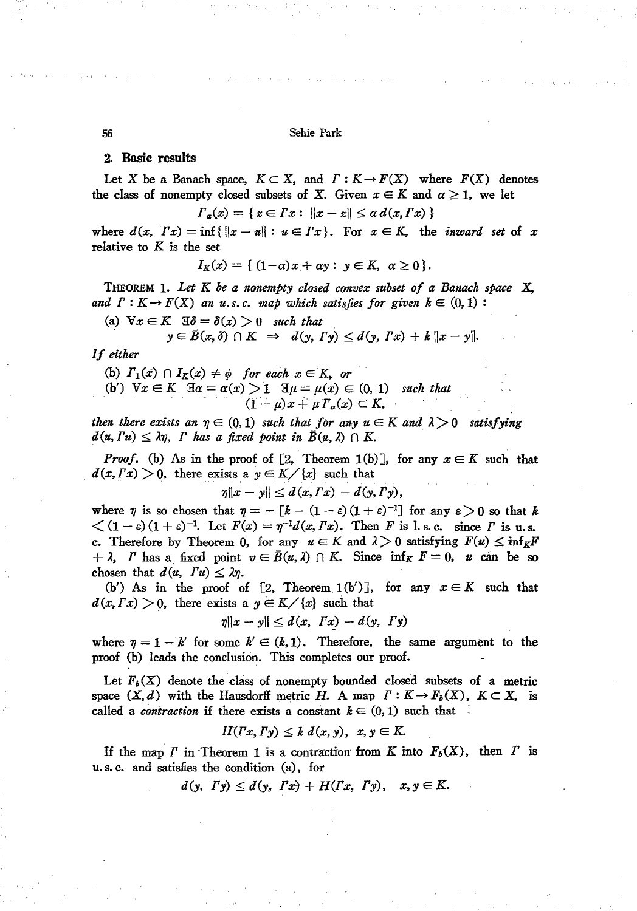56 Sehie Park

## 2. Basic results

Let X be a Banach space,  $K \subset X$ , and  $\Gamma: K \to F(X)$  where  $F(X)$  denotes the class of nonempty closed subsets of X. Given  $x \in K$  and  $\alpha \geq 1$ , we let

$$
\Gamma_{\alpha}(x) = \{ z \in \Gamma x : ||x - z|| \leq \alpha \, d(x, \Gamma x) \}
$$

where  $d(x, Tx) = \inf \{ ||x - u|| : u \in Tx \}$ . For  $x \in K$ , the *inward* set of *x* relative to *K* is the set

$$
I_K(x) = \{ (1-a)x + \alpha y : y \in K, \ \alpha \ge 0 \}.
$$

THEOREM 1. *Let K be a nonempty closed convex subset of a Banack space* X, *and*  $\Gamma: K \to F(X)$  *an u.s.c. map which satisfies for given*  $k \in (0, 1)$ :

(a)  $\forall x \in K$   $\exists \delta = \delta(x) > 0$  *such that* 

$$
y\in \bar{B}(x,\delta)\cap K \Rightarrow d(y,\Gamma y)\leq d(y,\Gamma x)+k||x-y||.
$$

*If either*

\n- (b) 
$$
\Gamma_1(x) \cap I_K(x) \neq \phi
$$
 for each  $x \in K$ , or
\n- (b')  $\forall x \in K$   $\exists \alpha = \alpha(x) > 1$   $\exists \mu = \mu(x) \in (0, 1)$  such that
\n- $(1 - \mu)x + \mu \Gamma_\alpha(x) \subset K$ ,
\n

*then there exists an*  $\eta \in (0,1)$  *such that for any*  $u \in K$  *and*  $\lambda > 0$  *satisfying*  $d(u, Fu) \leq \lambda \eta$ , *I* has a fixed point in  $B(u, \lambda) \cap K$ .

*Proof.* (b) As in the proof of [2, Theorem 1(b)], for any  $x \in K$  such that  $d(x, Tx) > 0$ , there exists a  $y \in K / \{x\}$  such that

$$
\eta\|x-y\|\leq d(x,\Gamma x)-d(y,\Gamma y),
$$

where  $\eta$  is so chosen that  $\eta = -[k - (1 - \varepsilon)(1 + \varepsilon)^{-1}]$  for any  $\varepsilon > 0$  so that k  $\langle (1-\varepsilon)(1+\varepsilon)^{-1}$ . Let  $F(x) = \eta^{-1}d(x, Tx)$ . Then *F* is 1, s.c. since *I* is u.s. c. Therefore by Theorem 0, for any  $u \in K$  and  $\lambda > 0$  satisfying  $F(u) \le \inf_K F$  $+ \lambda$ , *I* has a fixed point  $v \in \overline{B}(u, \lambda) \cap K$ . Since  $\inf_{K} F = 0$ , *u* can be so chosen that  $d(u, Tu) \leq \lambda \eta$ .

(b') As in the proof of  $[2,$  Theorem 1(b')], for any  $x \in K$  such that  $d(x, Tx) > 0$ , there exists a  $y \in K / \{x\}$  such that

$$
\eta\|x-y\|\leq d(x,\;Tx)-d(y,\;Ty)
$$

where  $\eta = 1 - k'$  for some  $k' \in (k, 1)$ . Therefore, the same argument to the proof (b) leads the conclusion. This completes our proof.

Let  $F_b(X)$  denote the class of nonempty bounded closed subsets of a metric space  $(X, d)$  with the Hausdorff metric *H*. A map  $\Gamma: K \to F_b(X)$ ,  $K \subset X$ , is called a *contraction* if there exists a constant  $k \in (0,1)$  such that

$$
H(Tx,\Gamma y)\leq k\ d(x,y),\ x,y\in K.
$$

If the map  $\Gamma$  in Theorem 1 is a contraction from  $K$  into  $F_b(X)$ , then  $\Gamma$  is u. s. c. and satisfies the condition (a), for

 $d(y, T_y) \leq d(y, Tx) + H(Tx, Ty), x, y \in K.$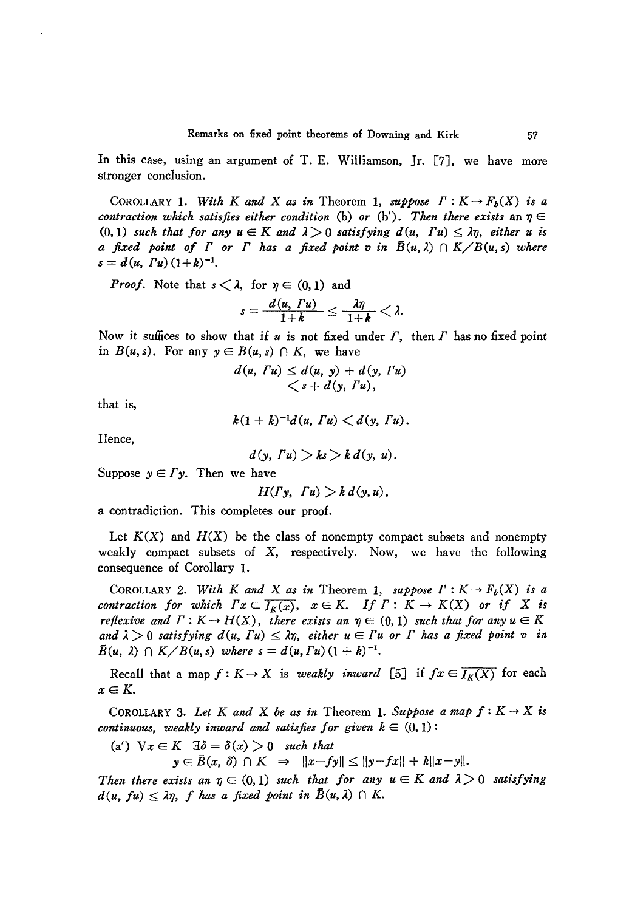In this case, using an argument of T. E. Williamson, Jr. [7], we have more stronger conclusion.

COROLLARY 1. With *K* and *X* as in Theorem 1, suppose  $\Gamma : K \to F_b(X)$  is a *contraction which satisfies either condition* (b) *or* (b'). Then *there exists* an  $\eta \in$ *contraction which satisfies either condition* (b) or (b'). Then there exists an  $\eta \in (0,1)$  such that for any  $u \in K$  and  $\lambda > 0$  satisfying  $d(u, T u) \leq \lambda \eta$ , either *u* is *a fixed point of F or F has a fixed point v in*  $\overline{B}(u, \lambda) \cap K \setminus B(u, s)$  *where*  $s = d(u, Tu)(1+k)^{-1}.$ 

*Proof.* Note that  $s < \lambda$ , for  $\eta \in (0, 1)$  and

$$
s=\frac{d(u, Tu)}{1+k}\leq \frac{\lambda\eta}{1+k}<\lambda.
$$

Now it suffices to show that if  $u$  is not fixed under  $\Gamma$ , then  $\Gamma$  has no fixed point in  $B(u, s)$ . For any  $y \in B(u, s) \cap K$ , we have

$$
d(u, \Gamma u) \leq d(u, y) + d(y, \Gamma u)
$$
  

$$
\langle s + d(y, \Gamma u),
$$

that is,

 $k(1 + k)^{-1}d(u, Tu) < d(v, Tu)$ .

Hence,

$$
d(y, Tu) > ks > k d(y, u).
$$

Suppose  $y \in \Gamma y$ . Then we have

$$
H(\Gamma y, \Gamma u) > k d(y, u),
$$

a contradiction. This completes our proof.

Let  $K(X)$  and  $H(X)$  be the class of nonempty compact subsets and nonempty weakly compact subsets of X, respectively. Now, we have the following consequence of Corollary 1.

COROLLARY 2. *With K* and *X* as in Theorem 1, suppose  $\Gamma: K \to F_b(X)$  is a *contraction for which*  $Fx \subset \overline{I_{\kappa}(x)}$ ,  $x \in K$ . If  $\Gamma: K \to K(X)$  or if X is *reflexive* and  $\Gamma : K \to H(X)$ , there exists an  $\eta \in (0, 1)$  such that for any  $u \in K$ <br>and  $\lambda > 0$  satisfying  $d(u, \Gamma u) \leq \lambda \eta$ , either  $u \in \Gamma u$  or  $\Gamma$  has a fixed point  $v$  i  $\lim_{n \to \infty} \frac{1}{n} \cdot \lim_{n \to \infty} \frac{1}{n} \cdot \lim_{n \to \infty} \frac{1}{n} \cdot \lim_{n \to \infty} \frac{1}{n} \cdot \lim_{n \to \infty} \frac{1}{n} \cdot \lim_{n \to \infty} \frac{1}{n} \cdot \lim_{n \to \infty} \frac{1}{n} \cdot \lim_{n \to \infty} \frac{1}{n} \cdot \lim_{n \to \infty} \frac{1}{n} \cdot \lim_{n \to \infty} \frac{1}{n} \cdot \lim_{n \to \infty} \frac{1}{n} \cdot \lim_{n \to \infty} \$  $\bar{B}(u, \lambda) \cap K/B(u, s)$  *where*  $s = d(u, Tu)(1 + k)^{-1}$ .

Recall that a map  $f: K \to X$  is *weakly inward* [5] if  $fx \in I_K(X)$  for each  $x \in K$ .

COROLLARY 3. Let K and X be as in Theorem 1. Suppose a map  $f: K \to X$  is *continuous, weakly inward and satisfies for given*  $k \in (0,1)$ :

(a')  $\forall x \in K$   $\exists \delta = \delta(x) > 0$  *such that* 

 $y \in \overline{B}(x, \delta) \cap K \Rightarrow ||x - fy|| \le ||y - fx|| + k||x - y||.$ 

*Then there exists* an  $\eta \in (0, 1)$  *such that for any*  $u \in K$  *and*  $\lambda > 0$  *satisfying*  $d(u, fu) \leq \lambda \eta$ , *f* has a fixed point in  $\bar{B}(u, \lambda) \cap K$ .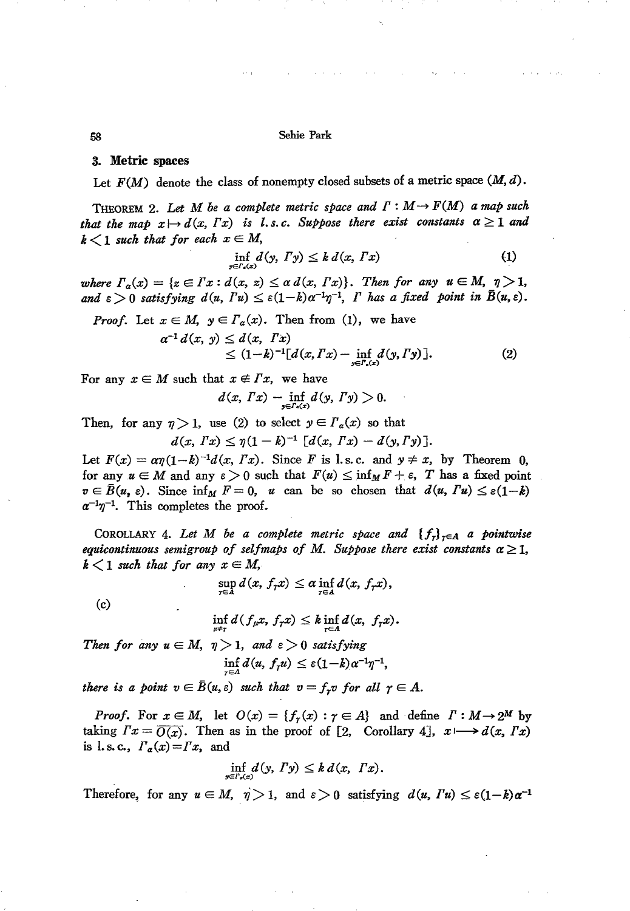58 Sehie Park

## 3. Metric spaces

Let  $F(M)$  denote the class of nonempty closed subsets of a metric space  $(M, d)$ .

THEOREM 2. Let  $M$  be a complete metric space and  $\Gamma : M \to F(M)$  a map such *that* the map  $x \mapsto d(x, Tx)$  *is l.s.c. Suppose there exist constants*  $\alpha \ge 1$  *and*  $k < 1$  *such that for each*  $x \in M$ ,

$$
\inf_{y \in \Gamma_a(x)} d(y, \Gamma y) \leq k \, d(x, \Gamma x) \tag{1}
$$

*where*  $\Gamma_{\alpha}(x) = \{z \in \Gamma x : d(x, z) \leq \alpha d(x, \Gamma x)\}\$ . Then for any  $u \in M$ ,  $\eta > 1$ , and  $\varepsilon > 0$  satisfying  $d(u, Tu) \leq \varepsilon(1-k)a^{-1}\eta^{-1}$ , *I* has a fixed point in  $\bar{B}(u, \varepsilon)$ .

*Proof.* Let 
$$
x \in M
$$
,  $y \in \Gamma_a(x)$ . Then from (1), we have  
\n
$$
\alpha^{-1} d(x, y) \leq d(x, Tx)
$$
\n
$$
\leq (1-k)^{-1} [d(x, Tx) - \inf_{y \in \Gamma_a(x)} d(y, Ty)].
$$
\n(2)

For any  $x \in M$  such that  $x \notin Tx$ , we have

$$
d(x, Tx) - \inf_{y \in \Gamma_a(x)} d(y, Ty) > 0.
$$

Then, for any  $\eta > 1$ , use (2) to select  $y \in \Gamma_{\alpha}(x)$  so that

$$
d(x, Tx) \leq \eta (1 - k)^{-1} [d(x, Tx) - d(y, Ty)].
$$

Let  $F(x) = a\eta(1-k)^{-1}d(x, Tx)$ . Since *F* is l.s.c. and  $y \neq x$ , by Theorem 0, for any  $u \in M$  and any  $\varepsilon > 0$  such that  $F(u) \le \inf_M F + \varepsilon$ , *T* has a fixed point  $v \in \overline{B}(u, \varepsilon)$ . Since  $\inf_M F = 0$ , *u* can be so chosen that  $d(u, Tu) \leq \varepsilon(1-k)$  $\alpha^{-1}\eta^{-1}$ . This completes the proof.

COROLLARY 4. Let M be a complete metric space and  $\{f_n\}_{n\in A}$  a pointwise *equicontinuous semigroup of selfmaps of M. Suppose there exist constants*  $\alpha \geq 1$ ,  $k < 1$  *such that for any*  $x \in M$ ,

$$
\sup_{\tau\in A}d(x, f_{\tau}x)\leq \alpha \inf_{\tau\in A}d(x, f_{\tau}x),
$$

(c)

$$
\inf_{\mu\neq\tau}d(f_{\mu}x,\,f_{\tau}x)\leq k\inf_{\tau\in A}d(x,\;f_{\tau}x).
$$

*Then for any*  $u \in M$ ,  $\eta > 1$ , and  $\varepsilon > 0$  *satisfying* 

$$
\inf_{\tau\in A}d(u,\,f_\tau u)\leq \varepsilon(1-k)\alpha^{-1}\eta^{-1},
$$

*there is a point*  $v \in \overline{B}(u, \varepsilon)$  *such that*  $v = f_x v$  *for all*  $\gamma \in A$ .

*Proof.* For  $x \in M$ , let  $O(x) = \{f_r(x) : r \in A\}$  and define  $\Gamma : M \to 2^M$  by taking  $Fx = \overline{O(x)}$ . Then as in the proof of [2, Corollary 4],  $x \mapsto d(x, Tx)$ is l.s.c.,  $\Gamma_{\alpha}(x) = \Gamma x$ , and

$$
\inf_{y\in\varGamma_{\epsilon}(x)}d(y,\varGamma y)\leq k\,d(x,\varGamma x).
$$

Therefore, for any  $u \in M$ ,  $\eta > 1$ , and  $\varepsilon > 0$  satisfying  $d(u, T u) \leq \varepsilon (1-k) \alpha^{-1}$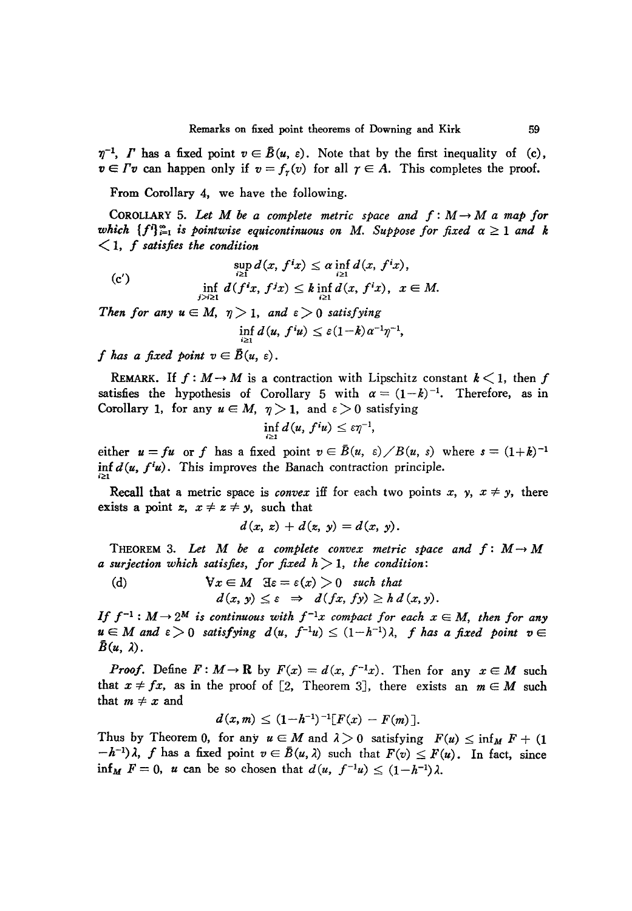$\eta^{-1}$ , *I* has a fixed point  $v \in \bar{B}(u, \varepsilon)$ . Note that by the first inequality of (c),  $v \in \Gamma v$  can happen only if  $v = f_r(v)$  for all  $\gamma \in A$ . This completes the proof.

From Corollary 4, we have the following.

COROLLARY 5. Let M be a complete metric space and  $f: M \to M$  a map for *which*  ${f_i}^i$   ${}_{i=1}^{\infty}$  *is pointwise equicontinuous on M. Suppose for fixed*  $\alpha \geq 1$  *and k* <1, *<sup>f</sup> satisfies the condition*

(c')  
\n
$$
\sup_{i\geq 1} d(x, f^ix) \leq \alpha \inf_{i\geq 1} d(x, f^ix),
$$
\n
$$
\inf_{j\geq i\geq 1} d(f^ix, f^jx) \leq k \inf_{i\geq 1} d(x, f^ix), \quad x \in M.
$$

*Then for any*  $u \in M$ ,  $\eta > 1$ , *and*  $\varepsilon > 0$  *satisfying* 

$$
\inf_{i\geq 1} d(u, f^i u) \leq \varepsilon (1-k) \alpha^{-1} \eta^{-1},
$$

*f* has a fixed point  $v \in \overline{B}(u, \varepsilon)$ .

REMARK. If  $f: M \rightarrow M$  is a contraction with Lipschitz constant  $k < 1$ , then f satisfies the hypothesis of Corollary 5 with  $\alpha = (1-k)^{-1}$ . Therefore, as in Corollary 1, for any  $u \in M$ ,  $\eta > 1$ , and  $\varepsilon > 0$  satisfying

$$
\inf_{i\geq 1}d(u,\,f^iu)\leq \varepsilon\eta^{-1},
$$

either  $u = fu$  or *f* has a fixed point  $v \in \overline{B}(u, \varepsilon) \diagup B(u, \varepsilon)$  where  $s = (1+k)^{-1}$ inf  $d(u, f^i u)$ . This improves the Banach contraction principle.

Recall that a metric space is *convex* iff for each two points x, y,  $x \neq y$ , there exists a point  $z, x \neq z \neq y$ , such that

$$
d(x, x) + d(x, y) = d(x, y).
$$

THEOREM 3. Let M be a complete convex metric space and  $f: M \rightarrow M$ *<sup>a</sup> surjection which satisfies, for fixed <sup>h</sup>*>1, *the condition:*

(d) 
$$
\begin{aligned}\n\forall x \in M \quad & \exists \varepsilon = \varepsilon(x) > 0 \quad \text{such that} \\
d(x, y) \leq \varepsilon \implies d(fx, fy) \geq h \, d(x, y).\n\end{aligned}
$$

*If*  $f^{-1}: M \to 2^M$  *is continuous with*  $f^{-1}x$  *compact for each*  $x \in M$ *, then for any*  $u \in M$  and  $\varepsilon > 0$  satisfying  $d(u, f^{-1}u) \leq (1 - h^{-1})\lambda$ , *f* has a fixed point  $v \in$  $\bar{B}(u, \lambda)$ .

*Proof.* Define  $F: M \to \mathbb{R}$  by  $F(x) = d(x, f^{-1}x)$ . Then for any  $x \in M$  such that  $x \neq fx$ , as in the proof of [2, Theorem 3], there exists an  $m \in M$  such that  $m \neq x$  and

$$
d(x,m) \leq (1-h^{-1})^{-1} [F(x) - F(m)].
$$

Thus by Theorem 0, for any  $u \in M$  and  $\lambda > 0$  satisfying  $F(u) \le \inf_M F + (1$  $(h^{-1})\lambda$ , *f* has a fixed point  $v \in \overline{B}(u, \lambda)$  such that  $F(v) \leq F(u)$ . In fact, since inf<sub>M</sub>  $F = 0$ , *u* can be so chosen that  $d(u, f^{-1}u) \leq (1-h^{-1})\lambda$ .